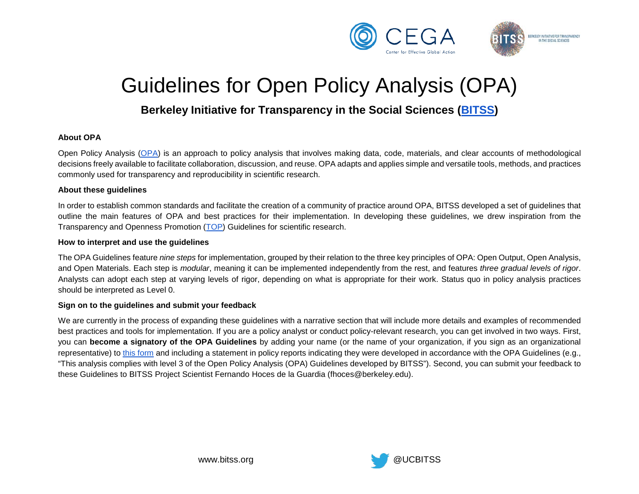

# Guidelines for Open Policy Analysis (OPA)

# **Berkeley Initiative for Transparency in the Social Sciences [\(BITSS\)](https://www.bitss.org/)**

## **About OPA**

Open Policy Analysis [\(OPA\)](https://www.bitss.org/opa/) is an approach to policy analysis that involves making data, code, materials, and clear accounts of methodological decisions freely available to facilitate collaboration, discussion, and reuse. OPA adapts and applies simple and versatile tools, methods, and practices commonly used for transparency and reproducibility in scientific research.

#### **About these guidelines**

In order to establish common standards and facilitate the creation of a community of practice around OPA, BITSS developed a set of guidelines that outline the main features of OPA and best practices for their implementation. In developing these guidelines, we drew inspiration from the Transparency and Openness Promotion [\(TOP\)](https://cos.io/our-services/top-guidelines/) Guidelines for scientific research.

#### **How to interpret and use the guidelines**

The OPA Guidelines feature *nine steps* for implementation, grouped by their relation to the three key principles of OPA: Open Output, Open Analysis, and Open Materials. Each step is *modular*, meaning it can be implemented independently from the rest, and features *three gradual levels of rigor*. Analysts can adopt each step at varying levels of rigor, depending on what is appropriate for their work. Status quo in policy analysis practices should be interpreted as Level 0.

## **Sign on to the guidelines and submit your feedback**

We are currently in the process of expanding these guidelines with a narrative section that will include more details and examples of recommended best practices and tools for implementation. If you are a policy analyst or conduct policy-relevant research, you can get involved in two ways. First, you can **become a signatory of the OPA Guidelines** by adding your name (or the name of your organization, if you sign as an organizational representative) to [this form](https://docs.google.com/forms/d/e/1FAIpQLSdn63GXNpK6CsggWg_0Z0MrhE9zPuKmv8rocoEfsDrScRdaLQ/viewform) and including a statement in policy reports indicating they were developed in accordance with the OPA Guidelines (e.g., "This analysis complies with level 3 of the Open Policy Analysis (OPA) Guidelines developed by BITSS"). Second, you can submit your feedback to these Guidelines to BITSS Project Scientist Fernando Hoces de la Guardia (fhoces@berkeley.edu).

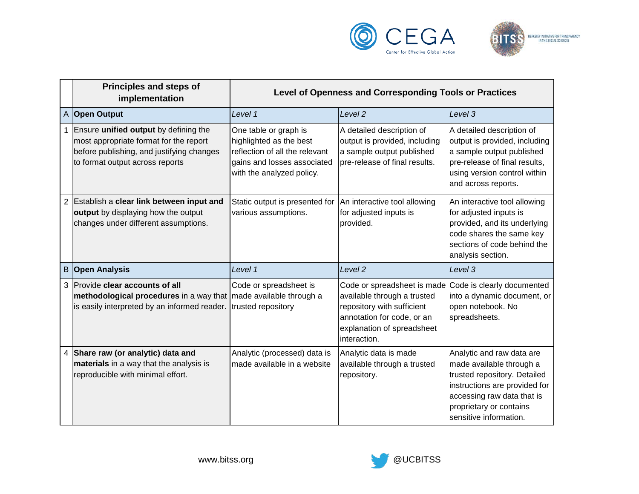



|                | Principles and steps of<br>implementation                                                                                                                              | Level of Openness and Corresponding Tools or Practices                                                                                         |                                                                                                                                                                                                 |                                                                                                                                                                                                           |
|----------------|------------------------------------------------------------------------------------------------------------------------------------------------------------------------|------------------------------------------------------------------------------------------------------------------------------------------------|-------------------------------------------------------------------------------------------------------------------------------------------------------------------------------------------------|-----------------------------------------------------------------------------------------------------------------------------------------------------------------------------------------------------------|
| $\mathsf{A}$   | <b>Open Output</b>                                                                                                                                                     | Level 1                                                                                                                                        | Level <sub>2</sub>                                                                                                                                                                              | Level 3                                                                                                                                                                                                   |
|                | Ensure unified output by defining the<br>most appropriate format for the report<br>before publishing, and justifying changes<br>to format output across reports        | One table or graph is<br>highlighted as the best<br>reflection of all the relevant<br>gains and losses associated<br>with the analyzed policy. | A detailed description of<br>output is provided, including<br>a sample output published<br>pre-release of final results.                                                                        | A detailed description of<br>output is provided, including<br>a sample output published<br>pre-release of final results,<br>using version control within<br>and across reports.                           |
| $\overline{2}$ | Establish a clear link between input and<br>output by displaying how the output<br>changes under different assumptions.                                                | Static output is presented for<br>various assumptions.                                                                                         | An interactive tool allowing<br>for adjusted inputs is<br>provided.                                                                                                                             | An interactive tool allowing<br>for adjusted inputs is<br>provided, and its underlying<br>code shares the same key<br>sections of code behind the<br>analysis section.                                    |
| $\, {\bf B}$   | <b>Open Analysis</b>                                                                                                                                                   | Level 1                                                                                                                                        | Level <sub>2</sub>                                                                                                                                                                              | Level 3                                                                                                                                                                                                   |
| 3              | Provide clear accounts of all<br>methodological procedures in a way that   made available through a<br>is easily interpreted by an informed reader. trusted repository | Code or spreadsheet is                                                                                                                         | Code or spreadsheet is made Code is clearly documented<br>available through a trusted<br>repository with sufficient<br>annotation for code, or an<br>explanation of spreadsheet<br>interaction. | into a dynamic document, or<br>open notebook. No<br>spreadsheets.                                                                                                                                         |
| 4              | Share raw (or analytic) data and<br>materials in a way that the analysis is<br>reproducible with minimal effort.                                                       | Analytic (processed) data is<br>made available in a website                                                                                    | Analytic data is made<br>available through a trusted<br>repository.                                                                                                                             | Analytic and raw data are<br>made available through a<br>trusted repository. Detailed<br>instructions are provided for<br>accessing raw data that is<br>proprietary or contains<br>sensitive information. |